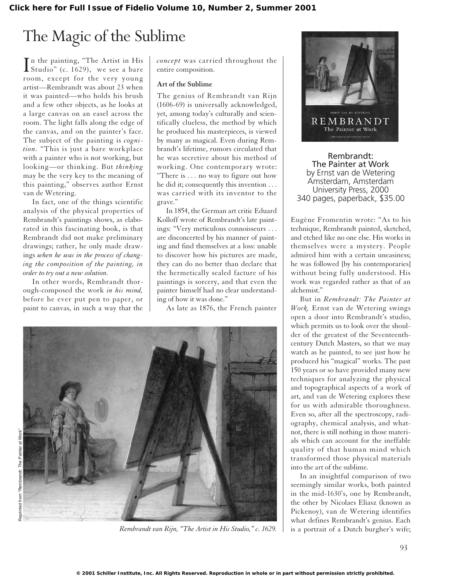## The Magic of the Sublime

In the painting, "The Artist in His<br>Studio" (c. 1629), we see a bare n the painting, "The Artist in His room, except for the very young artist—Rembrandt was about 23 when it was painted—who holds his brush and a few other objects, as he looks at a large canvas on an easel across the room. The light falls along the edge of the canvas, and on the painter's face. The subject of the painting is *cognition.* "This is just a bare workplace with a painter who is not working, but looking—or thinking. But *thinking* may be the very key to the meaning of this painting," observes author Ernst van de Wetering.

In fact, one of the things scientific analysis of the physical properties of Rembrandt's paintings shows, as elaborated in this fascinating book, is that Rembrandt did not make preliminary drawings; rather, he only made drawings *when he was in the process of changing the composition of the painting, in order to try out a new solution.*

In other words, Rembrandt thorough-composed the work *in his mind,* before he ever put pen to paper, or paint to canvas, in such a way that the *concept* was carried throughout the entire composition.

## **Art of the Sublime**

The genius of Rembrandt van Rijn (1606-69) is universally acknowledged, yet, among today's culturally and scientifically clueless, the method by which he produced his masterpieces, is viewed by many as magical. Even during Rembrandt's lifetime, rumors circulated that he was secretive about his method of working. One contemporary wrote: "There is . . . no way to figure out how he did it; consequently this invention . . . was carried with its inventor to the grave."

In 1854, the German art critic Eduard Kolloff wrote of Rembrandt's late paintings: "Very meticulous connoisseurs . . . are disconcerted by his manner of painting and find themselves at a loss: unable to discover how his pictures are made, they can do no better than declare that the hermetically sealed facture of his paintings is sorcery, and that even the painter himself had no clear understanding of how it was done."

As late as 1876, the French painter



*Rembrandt van Rijn, "The Artist in His Studio," c. 1629.*



Rembrandt: The Painter at Work by Ernst van de Wetering Amsterdam, Amsterdam University Press, 2000 340 pages, paperback, \$35.00

Eugène Fromentin wrote: "As to his technique, Rembrandt painted, sketched, and etched like no one else. His works in themselves were a mystery. People admired him with a certain uneasiness; he was followed [by his contemporaries] without being fully understood. His work was regarded rather as that of an alchemist."

But in *Rembrandt: The Painter at Work,* Ernst van de Wetering swings open a door into Rembrandt's studio, which permits us to look over the shoulder of the greatest of the Seventeenthcentury Dutch Masters, so that we may watch as he painted, to see just how he produced his "magical" works. The past 150 years or so have provided many new techniques for analyzing the physical and topographical aspects of a work of art, and van de Wetering explores these for us with admirable thoroughness. Even so, after all the spectroscopy, radiography, chemical analysis, and whatnot, there is still nothing in those materials which can account for the ineffable quality of that human mind which transformed those physical materials into the art of the sublime.

In an insightful comparison of two seemingly similar works, both painted in the mid-1630's, one by Rembrandt, the other by Nicolaes Eliasz (known as Pickenoy), van de Wetering identifies what defines Rembrandt's genius. Each is a portrait of a Dutch burgher's wife;